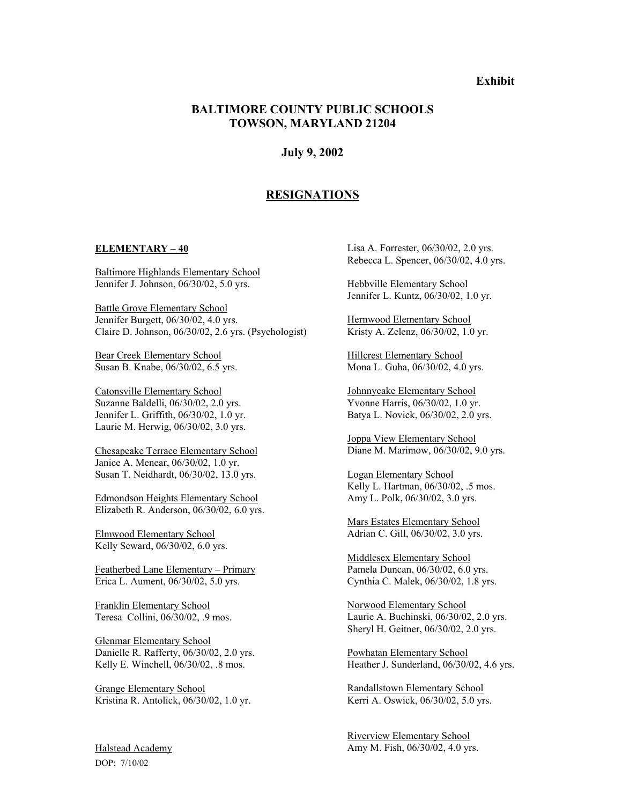# **Exhibit**

# **BALTIMORE COUNTY PUBLIC SCHOOLS TOWSON, MARYLAND 21204**

### **July 9, 2002**

# **RESIGNATIONS**

#### **ELEMENTARY – 40**

Baltimore Highlands Elementary School Jennifer J. Johnson, 06/30/02, 5.0 yrs.

Battle Grove Elementary School Jennifer Burgett, 06/30/02, 4.0 yrs. Claire D. Johnson, 06/30/02, 2.6 yrs. (Psychologist)

Bear Creek Elementary School Susan B. Knabe, 06/30/02, 6.5 yrs.

Catonsville Elementary School Suzanne Baldelli, 06/30/02, 2.0 yrs. Jennifer L. Griffith, 06/30/02, 1.0 yr. Laurie M. Herwig, 06/30/02, 3.0 yrs.

Chesapeake Terrace Elementary School Janice A. Menear, 06/30/02, 1.0 yr. Susan T. Neidhardt, 06/30/02, 13.0 yrs.

Edmondson Heights Elementary School Elizabeth R. Anderson, 06/30/02, 6.0 yrs.

Elmwood Elementary School Kelly Seward, 06/30/02, 6.0 yrs.

Featherbed Lane Elementary – Primary Erica L. Aument, 06/30/02, 5.0 yrs.

Franklin Elementary School Teresa Collini, 06/30/02, .9 mos.

Glenmar Elementary School Danielle R. Rafferty, 06/30/02, 2.0 yrs. Kelly E. Winchell, 06/30/02, .8 mos.

Grange Elementary School Kristina R. Antolick, 06/30/02, 1.0 yr. Lisa A. Forrester, 06/30/02, 2.0 yrs. Rebecca L. Spencer, 06/30/02, 4.0 yrs.

Hebbville Elementary School Jennifer L. Kuntz, 06/30/02, 1.0 yr.

Hernwood Elementary School Kristy A. Zelenz, 06/30/02, 1.0 yr.

Hillcrest Elementary School Mona L. Guha, 06/30/02, 4.0 yrs.

Johnnycake Elementary School Yvonne Harris, 06/30/02, 1.0 yr. Batya L. Novick, 06/30/02, 2.0 yrs.

Joppa View Elementary School Diane M. Marimow, 06/30/02, 9.0 yrs.

Logan Elementary School Kelly L. Hartman, 06/30/02, .5 mos. Amy L. Polk, 06/30/02, 3.0 yrs.

Mars Estates Elementary School Adrian C. Gill, 06/30/02, 3.0 yrs.

Middlesex Elementary School Pamela Duncan, 06/30/02, 6.0 yrs. Cynthia C. Malek, 06/30/02, 1.8 yrs.

Norwood Elementary School Laurie A. Buchinski, 06/30/02, 2.0 yrs. Sheryl H. Geitner, 06/30/02, 2.0 yrs.

Powhatan Elementary School Heather J. Sunderland, 06/30/02, 4.6 yrs.

Randallstown Elementary School Kerri A. Oswick, 06/30/02, 5.0 yrs.

Riverview Elementary School Amy M. Fish, 06/30/02, 4.0 yrs.

Halstead Academy DOP: 7/10/02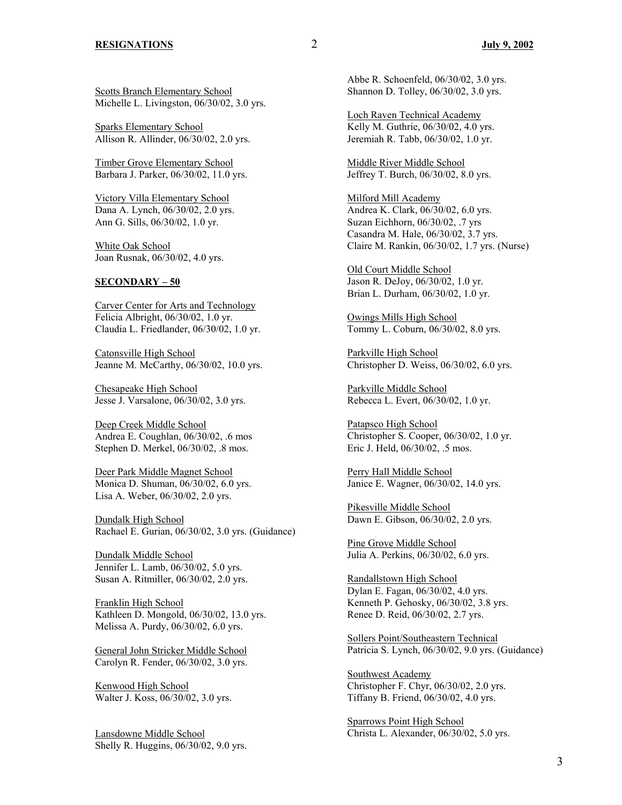Scotts Branch Elementary School Michelle L. Livingston, 06/30/02, 3.0 yrs.

Sparks Elementary School Allison R. Allinder, 06/30/02, 2.0 yrs.

Timber Grove Elementary School Barbara J. Parker, 06/30/02, 11.0 yrs.

Victory Villa Elementary School Dana A. Lynch, 06/30/02, 2.0 yrs. Ann G. Sills, 06/30/02, 1.0 yr.

White Oak School Joan Rusnak, 06/30/02, 4.0 yrs.

### **SECONDARY – 50**

Carver Center for Arts and Technology Felicia Albright, 06/30/02, 1.0 yr. Claudia L. Friedlander, 06/30/02, 1.0 yr.

Catonsville High School Jeanne M. McCarthy, 06/30/02, 10.0 yrs.

Chesapeake High School Jesse J. Varsalone, 06/30/02, 3.0 yrs.

Deep Creek Middle School Andrea E. Coughlan, 06/30/02, .6 mos Stephen D. Merkel, 06/30/02, .8 mos.

Deer Park Middle Magnet School Monica D. Shuman, 06/30/02, 6.0 yrs. Lisa A. Weber, 06/30/02, 2.0 yrs.

Dundalk High School Rachael E. Gurian, 06/30/02, 3.0 yrs. (Guidance)

Dundalk Middle School Jennifer L. Lamb, 06/30/02, 5.0 yrs. Susan A. Ritmiller, 06/30/02, 2.0 yrs.

Franklin High School Kathleen D. Mongold, 06/30/02, 13.0 yrs. Melissa A. Purdy, 06/30/02, 6.0 yrs.

General John Stricker Middle School Carolyn R. Fender, 06/30/02, 3.0 yrs.

Kenwood High School Walter J. Koss, 06/30/02, 3.0 yrs.

Lansdowne Middle School Shelly R. Huggins, 06/30/02, 9.0 yrs. Abbe R. Schoenfeld, 06/30/02, 3.0 yrs. Shannon D. Tolley, 06/30/02, 3.0 yrs.

Loch Raven Technical Academy Kelly M. Guthrie, 06/30/02, 4.0 yrs. Jeremiah R. Tabb, 06/30/02, 1.0 yr.

Middle River Middle School Jeffrey T. Burch, 06/30/02, 8.0 yrs.

Milford Mill Academy Andrea K. Clark, 06/30/02, 6.0 yrs. Suzan Eichhorn, 06/30/02, .7 yrs Casandra M. Hale, 06/30/02, 3.7 yrs. Claire M. Rankin, 06/30/02, 1.7 yrs. (Nurse)

Old Court Middle School Jason R. DeJoy, 06/30/02, 1.0 yr. Brian L. Durham, 06/30/02, 1.0 yr.

Owings Mills High School Tommy L. Coburn, 06/30/02, 8.0 yrs.

Parkville High School Christopher D. Weiss, 06/30/02, 6.0 yrs.

Parkville Middle School Rebecca L. Evert, 06/30/02, 1.0 yr.

Patapsco High School Christopher S. Cooper, 06/30/02, 1.0 yr. Eric J. Held, 06/30/02, .5 mos.

Perry Hall Middle School Janice E. Wagner, 06/30/02, 14.0 yrs.

Pikesville Middle School Dawn E. Gibson, 06/30/02, 2.0 yrs.

Pine Grove Middle School Julia A. Perkins, 06/30/02, 6.0 yrs.

Randallstown High School Dylan E. Fagan, 06/30/02, 4.0 yrs. Kenneth P. Gehosky, 06/30/02, 3.8 yrs. Renee D. Reid, 06/30/02, 2.7 yrs.

Sollers Point/Southeastern Technical Patricia S. Lynch, 06/30/02, 9.0 yrs. (Guidance)

Southwest Academy Christopher F. Chyr, 06/30/02, 2.0 yrs. Tiffany B. Friend, 06/30/02, 4.0 yrs.

Sparrows Point High School Christa L. Alexander, 06/30/02, 5.0 yrs.